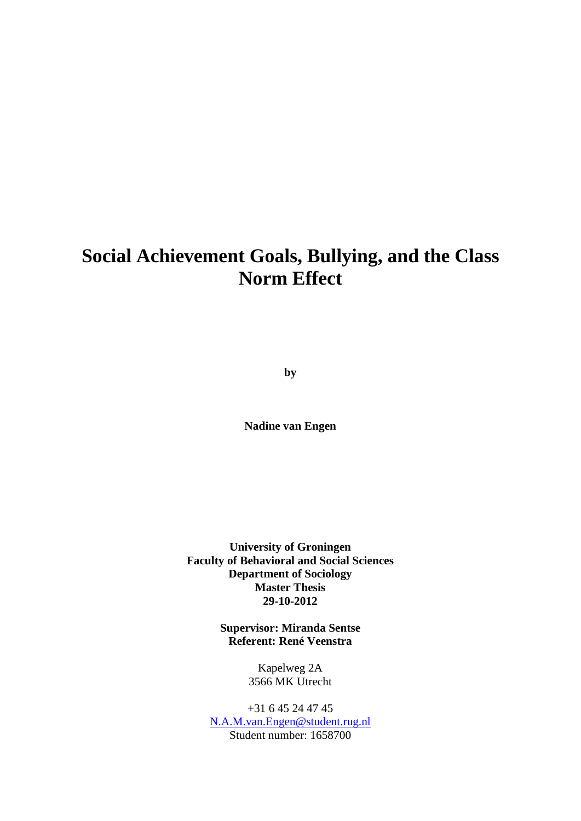# **Social Achievement Goals, Bullying, and the Class Norm Effect**

**by**

**Nadine van Engen**

**University of Groningen Faculty of Behavioral and Social Sciences Department of Sociology Master Thesis 29-10-2012**

> **Supervisor: Miranda Sentse Referent: René Veenstra**

> > Kapelweg 2A 3566 MK Utrecht

+31 6 45 24 47 45 [N.A.M.van.Engen@student.rug.nl](mailto:N.A.M.van.Engen@student.rug.nl) Student number: 1658700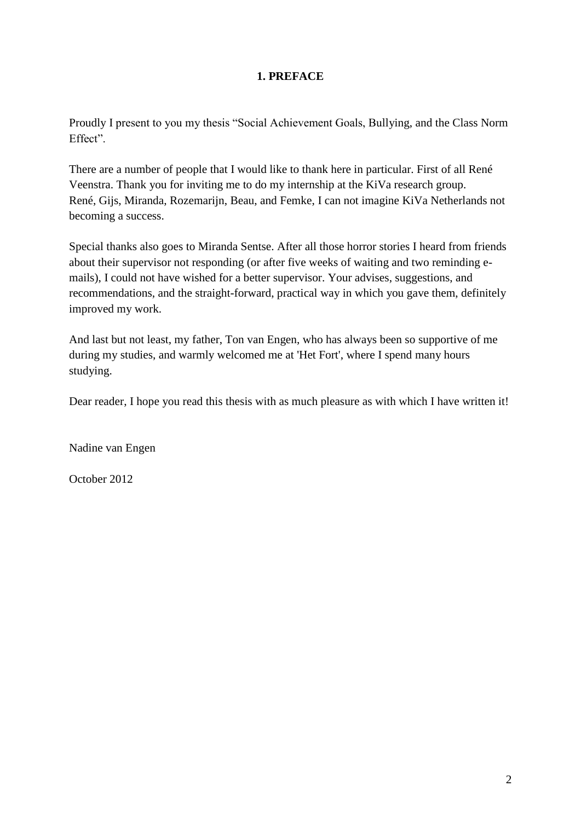## **1. PREFACE**

Proudly I present to you my thesis "Social Achievement Goals, Bullying, and the Class Norm Effect".

There are a number of people that I would like to thank here in particular. First of all René Veenstra. Thank you for inviting me to do my internship at the KiVa research group. René, Gijs, Miranda, Rozemarijn, Beau, and Femke, I can not imagine KiVa Netherlands not becoming a success.

Special thanks also goes to Miranda Sentse. After all those horror stories I heard from friends about their supervisor not responding (or after five weeks of waiting and two reminding emails), I could not have wished for a better supervisor. Your advises, suggestions, and recommendations, and the straight-forward, practical way in which you gave them, definitely improved my work.

And last but not least, my father, Ton van Engen, who has always been so supportive of me during my studies, and warmly welcomed me at 'Het Fort', where I spend many hours studying.

Dear reader, I hope you read this thesis with as much pleasure as with which I have written it!

Nadine van Engen

October 2012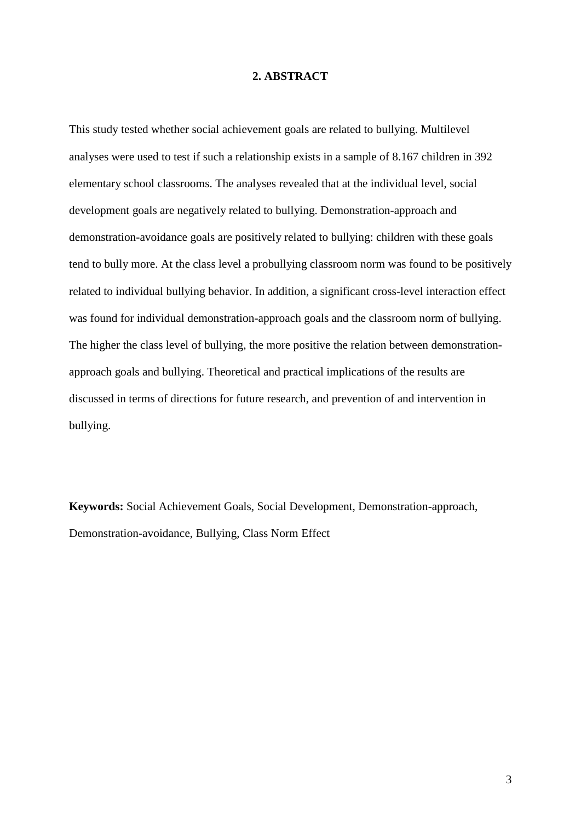## **2. ABSTRACT**

This study tested whether social achievement goals are related to bullying. Multilevel analyses were used to test if such a relationship exists in a sample of 8.167 children in 392 elementary school classrooms. The analyses revealed that at the individual level, social development goals are negatively related to bullying. Demonstration-approach and demonstration-avoidance goals are positively related to bullying: children with these goals tend to bully more. At the class level a probullying classroom norm was found to be positively related to individual bullying behavior. In addition, a significant cross-level interaction effect was found for individual demonstration-approach goals and the classroom norm of bullying. The higher the class level of bullying, the more positive the relation between demonstrationapproach goals and bullying. Theoretical and practical implications of the results are discussed in terms of directions for future research, and prevention of and intervention in bullying.

**Keywords:** Social Achievement Goals, Social Development, Demonstration-approach, Demonstration-avoidance, Bullying, Class Norm Effect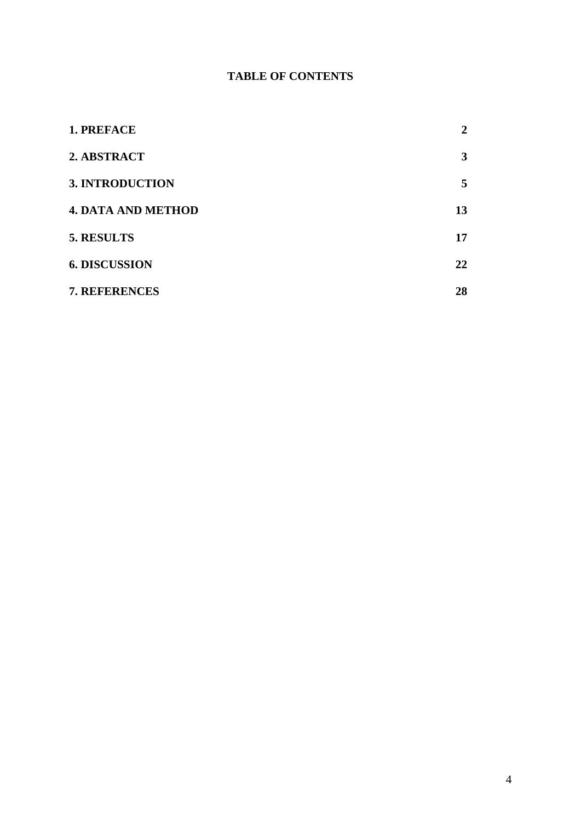# **TABLE OF CONTENTS**

| 1. PREFACE                | 2  |
|---------------------------|----|
| 2. ABSTRACT               | 3  |
| <b>3. INTRODUCTION</b>    | 5  |
| <b>4. DATA AND METHOD</b> | 13 |
| 5. RESULTS                | 17 |
| <b>6. DISCUSSION</b>      | 22 |
| 7. REFERENCES             | 28 |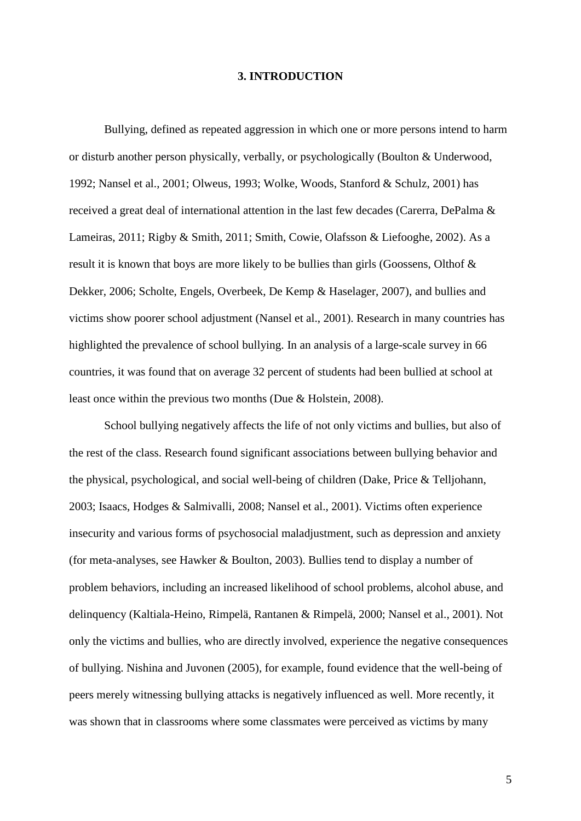## **3. INTRODUCTION**

Bullying, defined as repeated aggression in which one or more persons intend to harm or disturb another person physically, verbally, or psychologically (Boulton & Underwood, 1992; Nansel et al., 2001; Olweus, 1993; Wolke, Woods, Stanford & Schulz, 2001) has received a great deal of international attention in the last few decades (Carerra, DePalma & Lameiras, 2011; Rigby & Smith, 2011; Smith, Cowie, Olafsson & Liefooghe, 2002). As a result it is known that boys are more likely to be bullies than girls (Goossens, Olthof & Dekker, 2006; Scholte, Engels, Overbeek, De Kemp & Haselager, 2007), and bullies and victims show poorer school adjustment (Nansel et al., 2001). Research in many countries has highlighted the prevalence of school bullying. In an analysis of a large-scale survey in 66 countries, it was found that on average 32 percent of students had been bullied at school at least once within the previous two months (Due & Holstein, 2008).

School bullying negatively affects the life of not only victims and bullies, but also of the rest of the class. Research found significant associations between bullying behavior and the physical, psychological, and social well-being of children (Dake, Price & Telljohann, 2003; Isaacs, Hodges & Salmivalli, 2008; Nansel et al., 2001). Victims often experience insecurity and various forms of psychosocial maladjustment, such as depression and anxiety (for meta-analyses, see Hawker & Boulton, 2003). Bullies tend to display a number of problem behaviors, including an increased likelihood of school problems, alcohol abuse, and delinquency (Kaltiala-Heino, Rimpelä, Rantanen & Rimpelä, 2000; Nansel et al., 2001). Not only the victims and bullies, who are directly involved, experience the negative consequences of bullying. Nishina and Juvonen (2005), for example, found evidence that the well-being of peers merely witnessing bullying attacks is negatively influenced as well. More recently, it was shown that in classrooms where some classmates were perceived as victims by many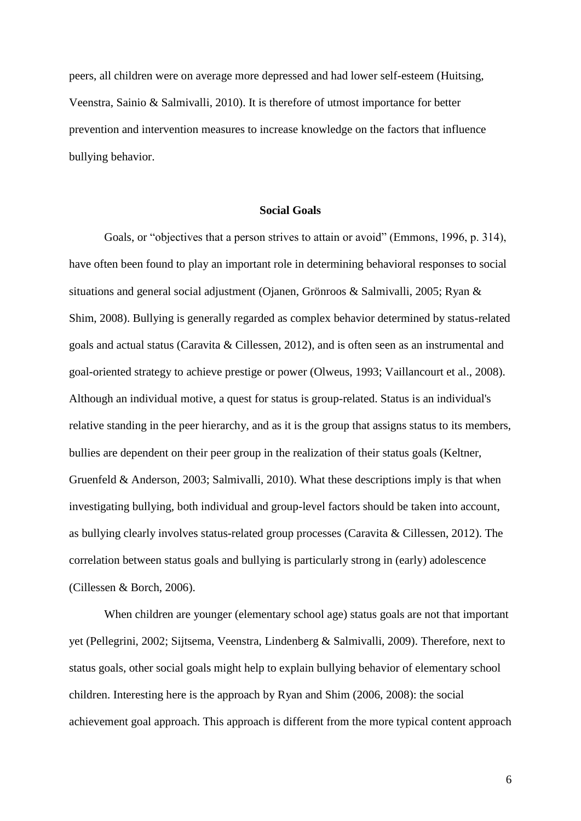peers, all children were on average more depressed and had lower self-esteem (Huitsing, Veenstra, Sainio & Salmivalli, 2010). It is therefore of utmost importance for better prevention and intervention measures to increase knowledge on the factors that influence bullying behavior.

## **Social Goals**

Goals, or "objectives that a person strives to attain or avoid" (Emmons, 1996, p. 314), have often been found to play an important role in determining behavioral responses to social situations and general social adjustment (Ojanen, Grönroos & Salmivalli, 2005; Ryan & Shim, 2008). Bullying is generally regarded as complex behavior determined by status-related goals and actual status (Caravita & Cillessen, 2012), and is often seen as an instrumental and goal-oriented strategy to achieve prestige or power (Olweus, 1993; Vaillancourt et al., 2008). Although an individual motive, a quest for status is group-related. Status is an individual's relative standing in the peer hierarchy, and as it is the group that assigns status to its members, bullies are dependent on their peer group in the realization of their status goals (Keltner, Gruenfeld & Anderson, 2003; Salmivalli, 2010). What these descriptions imply is that when investigating bullying, both individual and group-level factors should be taken into account, as bullying clearly involves status-related group processes (Caravita & Cillessen, 2012). The correlation between status goals and bullying is particularly strong in (early) adolescence (Cillessen & Borch, 2006).

When children are younger (elementary school age) status goals are not that important yet (Pellegrini, 2002; Sijtsema, Veenstra, Lindenberg & Salmivalli, 2009). Therefore, next to status goals, other social goals might help to explain bullying behavior of elementary school children. Interesting here is the approach by Ryan and Shim (2006, 2008): the social achievement goal approach. This approach is different from the more typical content approach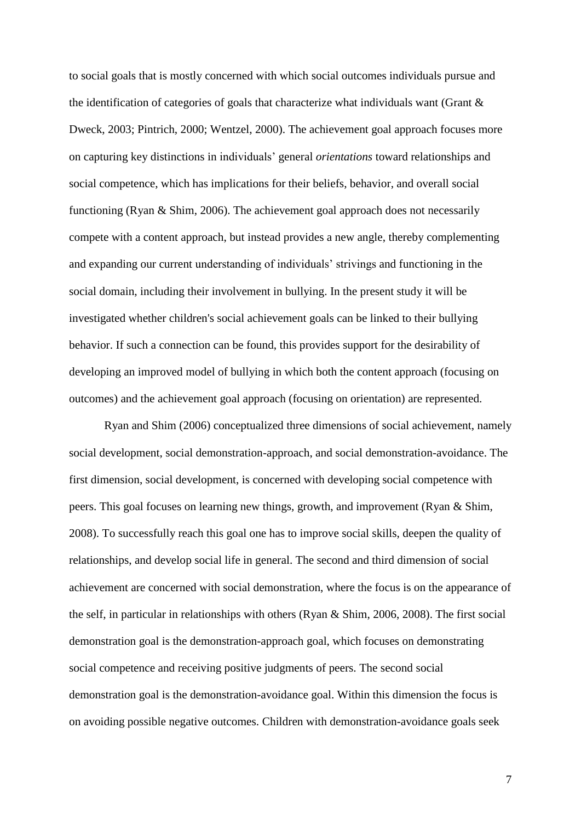to social goals that is mostly concerned with which social outcomes individuals pursue and the identification of categories of goals that characterize what individuals want (Grant & Dweck, 2003; Pintrich, 2000; Wentzel, 2000). The achievement goal approach focuses more on capturing key distinctions in individuals' general *orientations* toward relationships and social competence, which has implications for their beliefs, behavior, and overall social functioning (Ryan & Shim, 2006). The achievement goal approach does not necessarily compete with a content approach, but instead provides a new angle, thereby complementing and expanding our current understanding of individuals' strivings and functioning in the social domain, including their involvement in bullying. In the present study it will be investigated whether children's social achievement goals can be linked to their bullying behavior. If such a connection can be found, this provides support for the desirability of developing an improved model of bullying in which both the content approach (focusing on outcomes) and the achievement goal approach (focusing on orientation) are represented.

Ryan and Shim (2006) conceptualized three dimensions of social achievement, namely social development, social demonstration-approach, and social demonstration-avoidance. The first dimension, social development, is concerned with developing social competence with peers. This goal focuses on learning new things, growth, and improvement (Ryan & Shim, 2008). To successfully reach this goal one has to improve social skills, deepen the quality of relationships, and develop social life in general. The second and third dimension of social achievement are concerned with social demonstration, where the focus is on the appearance of the self, in particular in relationships with others (Ryan & Shim, 2006, 2008). The first social demonstration goal is the demonstration-approach goal, which focuses on demonstrating social competence and receiving positive judgments of peers. The second social demonstration goal is the demonstration-avoidance goal. Within this dimension the focus is on avoiding possible negative outcomes. Children with demonstration-avoidance goals seek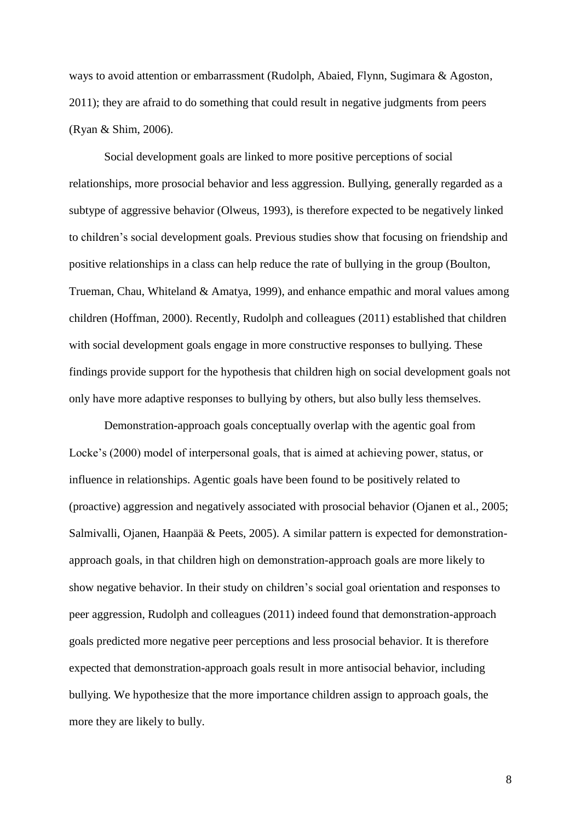ways to avoid attention or embarrassment (Rudolph, Abaied, Flynn, Sugimara & Agoston, 2011); they are afraid to do something that could result in negative judgments from peers (Ryan & Shim, 2006).

Social development goals are linked to more positive perceptions of social relationships, more prosocial behavior and less aggression. Bullying, generally regarded as a subtype of aggressive behavior (Olweus, 1993), is therefore expected to be negatively linked to children's social development goals. Previous studies show that focusing on friendship and positive relationships in a class can help reduce the rate of bullying in the group (Boulton, Trueman, Chau, Whiteland & Amatya, 1999), and enhance empathic and moral values among children (Hoffman, 2000). Recently, Rudolph and colleagues (2011) established that children with social development goals engage in more constructive responses to bullying. These findings provide support for the hypothesis that children high on social development goals not only have more adaptive responses to bullying by others, but also bully less themselves.

Demonstration-approach goals conceptually overlap with the agentic goal from Locke's (2000) model of interpersonal goals, that is aimed at achieving power, status, or influence in relationships. Agentic goals have been found to be positively related to (proactive) aggression and negatively associated with prosocial behavior (Ojanen et al., 2005; Salmivalli, Ojanen, Haanpää & Peets, 2005). A similar pattern is expected for demonstrationapproach goals, in that children high on demonstration-approach goals are more likely to show negative behavior. In their study on children's social goal orientation and responses to peer aggression, Rudolph and colleagues (2011) indeed found that demonstration-approach goals predicted more negative peer perceptions and less prosocial behavior. It is therefore expected that demonstration-approach goals result in more antisocial behavior, including bullying. We hypothesize that the more importance children assign to approach goals, the more they are likely to bully.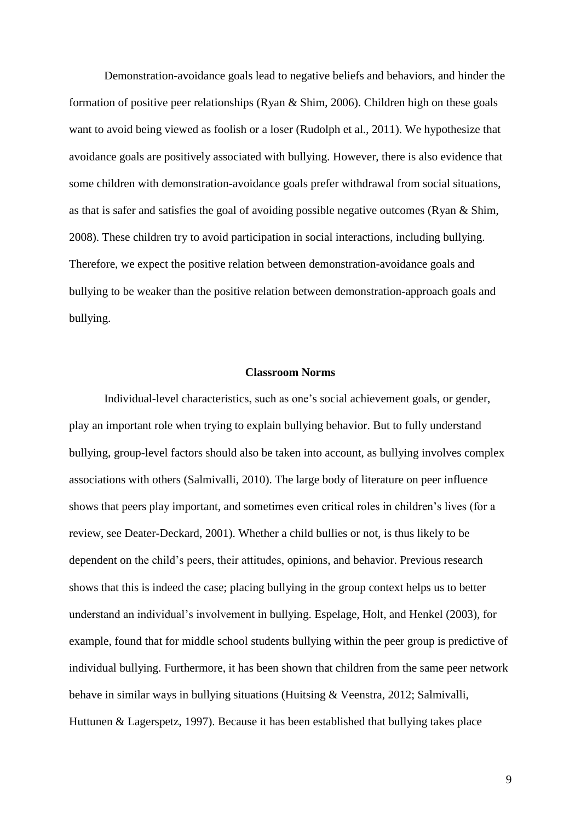Demonstration-avoidance goals lead to negative beliefs and behaviors, and hinder the formation of positive peer relationships (Ryan & Shim, 2006). Children high on these goals want to avoid being viewed as foolish or a loser (Rudolph et al., 2011). We hypothesize that avoidance goals are positively associated with bullying. However, there is also evidence that some children with demonstration-avoidance goals prefer withdrawal from social situations, as that is safer and satisfies the goal of avoiding possible negative outcomes (Ryan & Shim, 2008). These children try to avoid participation in social interactions, including bullying. Therefore, we expect the positive relation between demonstration-avoidance goals and bullying to be weaker than the positive relation between demonstration-approach goals and bullying.

#### **Classroom Norms**

Individual-level characteristics, such as one's social achievement goals, or gender, play an important role when trying to explain bullying behavior. But to fully understand bullying, group-level factors should also be taken into account, as bullying involves complex associations with others (Salmivalli, 2010). The large body of literature on peer influence shows that peers play important, and sometimes even critical roles in children's lives (for a review, see Deater-Deckard, 2001). Whether a child bullies or not, is thus likely to be dependent on the child's peers, their attitudes, opinions, and behavior. Previous research shows that this is indeed the case; placing bullying in the group context helps us to better understand an individual's involvement in bullying. Espelage, Holt, and Henkel (2003), for example, found that for middle school students bullying within the peer group is predictive of individual bullying. Furthermore, it has been shown that children from the same peer network behave in similar ways in bullying situations (Huitsing & Veenstra, 2012; Salmivalli, Huttunen & Lagerspetz, 1997). Because it has been established that bullying takes place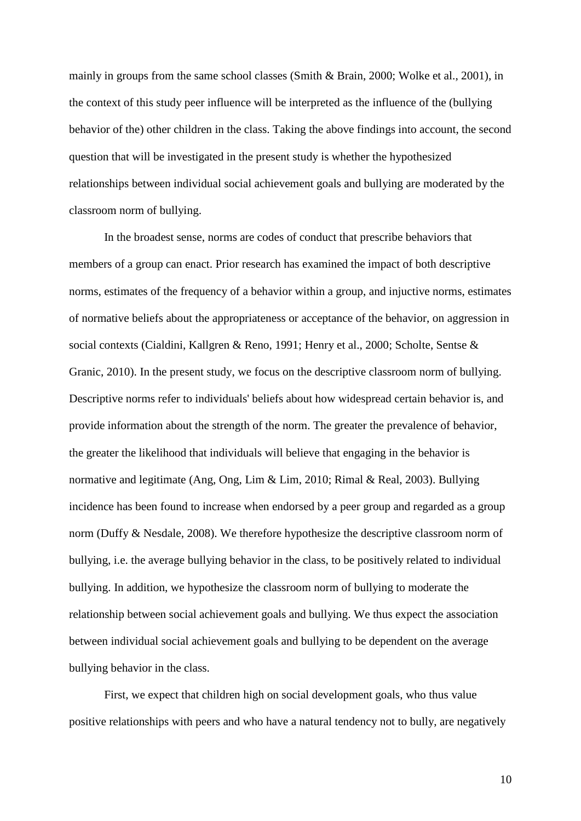mainly in groups from the same school classes (Smith & Brain, 2000; Wolke et al., 2001), in the context of this study peer influence will be interpreted as the influence of the (bullying behavior of the) other children in the class. Taking the above findings into account, the second question that will be investigated in the present study is whether the hypothesized relationships between individual social achievement goals and bullying are moderated by the classroom norm of bullying.

In the broadest sense, norms are codes of conduct that prescribe behaviors that members of a group can enact. Prior research has examined the impact of both descriptive norms, estimates of the frequency of a behavior within a group, and injuctive norms, estimates of normative beliefs about the appropriateness or acceptance of the behavior, on aggression in social contexts (Cialdini, Kallgren & Reno, 1991; Henry et al., 2000; Scholte, Sentse & Granic, 2010). In the present study, we focus on the descriptive classroom norm of bullying. Descriptive norms refer to individuals' beliefs about how widespread certain behavior is, and provide information about the strength of the norm. The greater the prevalence of behavior, the greater the likelihood that individuals will believe that engaging in the behavior is normative and legitimate (Ang, Ong, Lim & Lim, 2010; Rimal & Real, 2003). Bullying incidence has been found to increase when endorsed by a peer group and regarded as a group norm (Duffy & Nesdale, 2008). We therefore hypothesize the descriptive classroom norm of bullying, i.e. the average bullying behavior in the class, to be positively related to individual bullying. In addition, we hypothesize the classroom norm of bullying to moderate the relationship between social achievement goals and bullying. We thus expect the association between individual social achievement goals and bullying to be dependent on the average bullying behavior in the class.

First, we expect that children high on social development goals, who thus value positive relationships with peers and who have a natural tendency not to bully, are negatively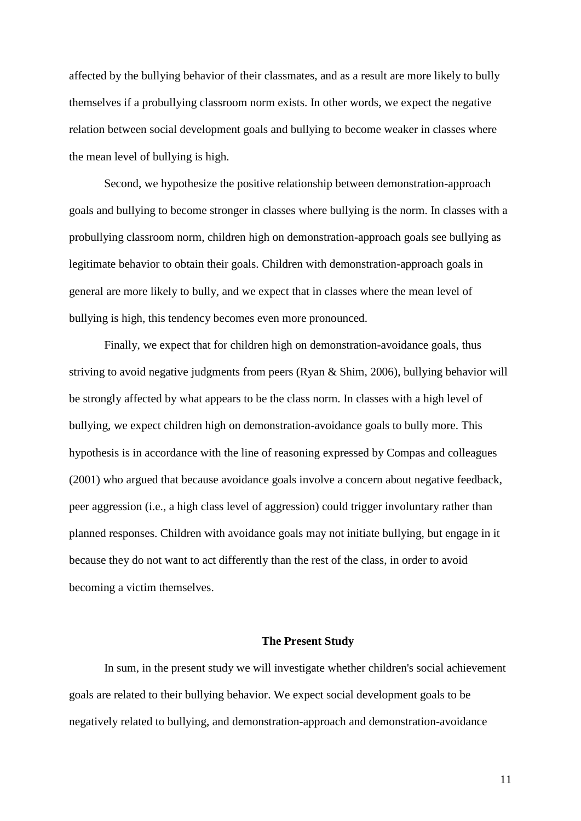affected by the bullying behavior of their classmates, and as a result are more likely to bully themselves if a probullying classroom norm exists. In other words, we expect the negative relation between social development goals and bullying to become weaker in classes where the mean level of bullying is high.

Second, we hypothesize the positive relationship between demonstration-approach goals and bullying to become stronger in classes where bullying is the norm. In classes with a probullying classroom norm, children high on demonstration-approach goals see bullying as legitimate behavior to obtain their goals. Children with demonstration-approach goals in general are more likely to bully, and we expect that in classes where the mean level of bullying is high, this tendency becomes even more pronounced.

Finally, we expect that for children high on demonstration-avoidance goals, thus striving to avoid negative judgments from peers (Ryan & Shim, 2006), bullying behavior will be strongly affected by what appears to be the class norm. In classes with a high level of bullying, we expect children high on demonstration-avoidance goals to bully more. This hypothesis is in accordance with the line of reasoning expressed by Compas and colleagues (2001) who argued that because avoidance goals involve a concern about negative feedback, peer aggression (i.e., a high class level of aggression) could trigger involuntary rather than planned responses. Children with avoidance goals may not initiate bullying, but engage in it because they do not want to act differently than the rest of the class, in order to avoid becoming a victim themselves.

## **The Present Study**

In sum, in the present study we will investigate whether children's social achievement goals are related to their bullying behavior. We expect social development goals to be negatively related to bullying, and demonstration-approach and demonstration-avoidance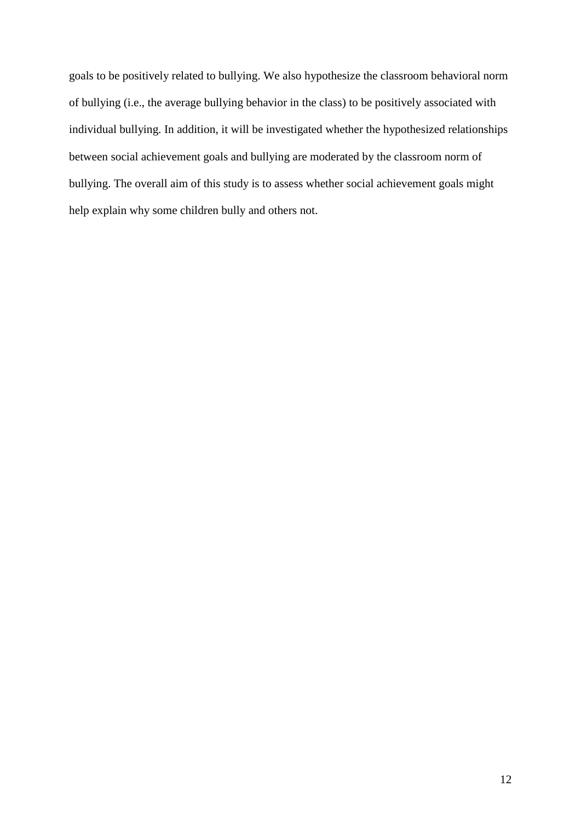goals to be positively related to bullying. We also hypothesize the classroom behavioral norm of bullying (i.e., the average bullying behavior in the class) to be positively associated with individual bullying. In addition, it will be investigated whether the hypothesized relationships between social achievement goals and bullying are moderated by the classroom norm of bullying. The overall aim of this study is to assess whether social achievement goals might help explain why some children bully and others not.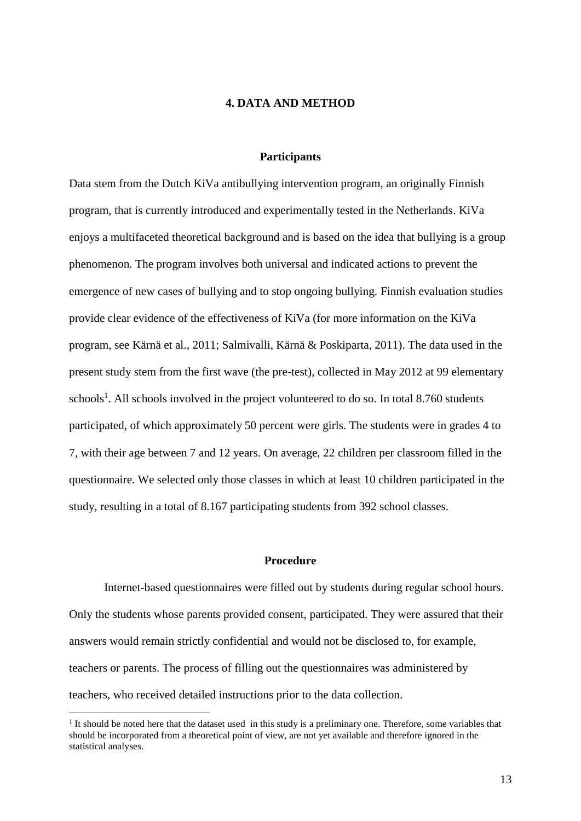## **4. DATA AND METHOD**

## **Participants**

Data stem from the Dutch KiVa antibullying intervention program, an originally Finnish program, that is currently introduced and experimentally tested in the Netherlands. KiVa enjoys a multifaceted theoretical background and is based on the idea that bullying is a group phenomenon. The program involves both universal and indicated actions to prevent the emergence of new cases of bullying and to stop ongoing bullying. Finnish evaluation studies provide clear evidence of the effectiveness of KiVa (for more information on the KiVa program, see Kärnä et al., 2011; Salmivalli, Kärnä & Poskiparta, 2011). The data used in the present study stem from the first wave (the pre-test), collected in May 2012 at 99 elementary schools<sup>1</sup>. All schools involved in the project volunteered to do so. In total 8.760 students participated, of which approximately 50 percent were girls. The students were in grades 4 to 7, with their age between 7 and 12 years. On average, 22 children per classroom filled in the questionnaire. We selected only those classes in which at least 10 children participated in the study, resulting in a total of 8.167 participating students from 392 school classes.

## **Procedure**

Internet-based questionnaires were filled out by students during regular school hours. Only the students whose parents provided consent, participated. They were assured that their answers would remain strictly confidential and would not be disclosed to, for example, teachers or parents. The process of filling out the questionnaires was administered by teachers, who received detailed instructions prior to the data collection.

<sup>&</sup>lt;sup>1</sup> It should be noted here that the dataset used in this study is a preliminary one. Therefore, some variables that should be incorporated from a theoretical point of view, are not yet available and therefore ignored in the statistical analyses.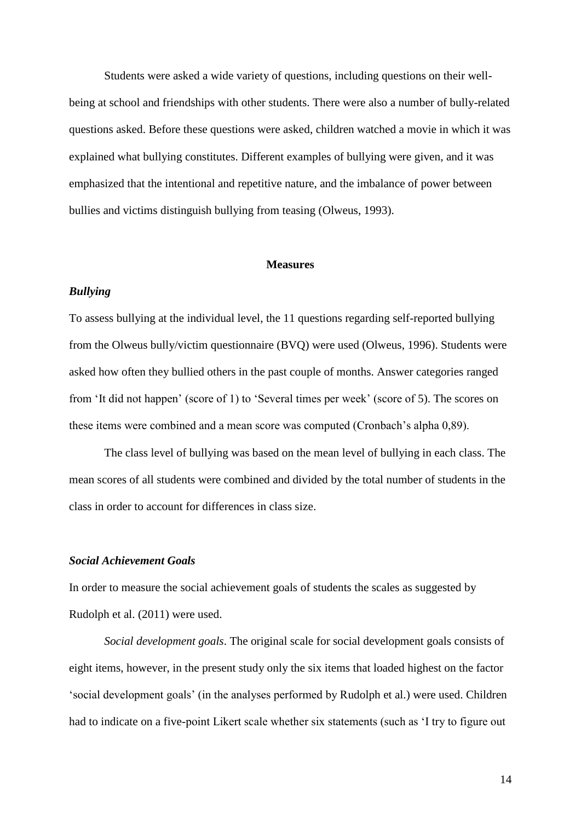Students were asked a wide variety of questions, including questions on their wellbeing at school and friendships with other students. There were also a number of bully-related questions asked. Before these questions were asked, children watched a movie in which it was explained what bullying constitutes. Different examples of bullying were given, and it was emphasized that the intentional and repetitive nature, and the imbalance of power between bullies and victims distinguish bullying from teasing (Olweus, 1993).

#### **Measures**

## *Bullying*

To assess bullying at the individual level, the 11 questions regarding self-reported bullying from the Olweus bully/victim questionnaire (BVQ) were used (Olweus, 1996). Students were asked how often they bullied others in the past couple of months. Answer categories ranged from 'It did not happen' (score of 1) to 'Several times per week' (score of 5). The scores on these items were combined and a mean score was computed (Cronbach's alpha 0,89).

The class level of bullying was based on the mean level of bullying in each class. The mean scores of all students were combined and divided by the total number of students in the class in order to account for differences in class size.

## *Social Achievement Goals*

In order to measure the social achievement goals of students the scales as suggested by Rudolph et al. (2011) were used.

*Social development goals*. The original scale for social development goals consists of eight items, however, in the present study only the six items that loaded highest on the factor 'social development goals' (in the analyses performed by Rudolph et al.) were used. Children had to indicate on a five-point Likert scale whether six statements (such as 'I try to figure out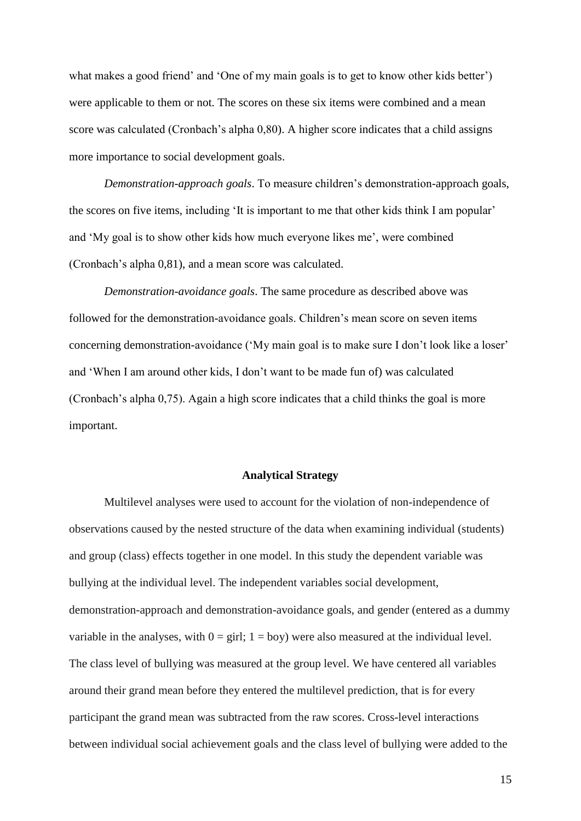what makes a good friend' and 'One of my main goals is to get to know other kids better') were applicable to them or not. The scores on these six items were combined and a mean score was calculated (Cronbach's alpha 0,80). A higher score indicates that a child assigns more importance to social development goals.

*Demonstration-approach goals*. To measure children's demonstration-approach goals, the scores on five items, including 'It is important to me that other kids think I am popular' and 'My goal is to show other kids how much everyone likes me', were combined (Cronbach's alpha 0,81), and a mean score was calculated.

*Demonstration-avoidance goals*. The same procedure as described above was followed for the demonstration-avoidance goals. Children's mean score on seven items concerning demonstration-avoidance ('My main goal is to make sure I don't look like a loser' and 'When I am around other kids, I don't want to be made fun of) was calculated (Cronbach's alpha 0,75). Again a high score indicates that a child thinks the goal is more important.

## **Analytical Strategy**

Multilevel analyses were used to account for the violation of non-independence of observations caused by the nested structure of the data when examining individual (students) and group (class) effects together in one model. In this study the dependent variable was bullying at the individual level. The independent variables social development, demonstration-approach and demonstration-avoidance goals, and gender (entered as a dummy variable in the analyses, with  $0 = \text{girl}$ ;  $1 = \text{boy}$ ) were also measured at the individual level. The class level of bullying was measured at the group level. We have centered all variables around their grand mean before they entered the multilevel prediction, that is for every participant the grand mean was subtracted from the raw scores. Cross-level interactions between individual social achievement goals and the class level of bullying were added to the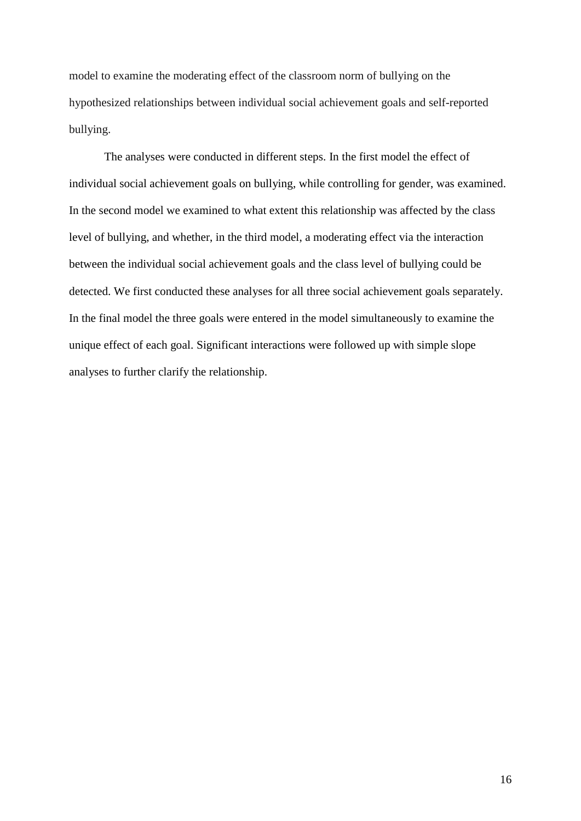model to examine the moderating effect of the classroom norm of bullying on the hypothesized relationships between individual social achievement goals and self-reported bullying.

The analyses were conducted in different steps. In the first model the effect of individual social achievement goals on bullying, while controlling for gender, was examined. In the second model we examined to what extent this relationship was affected by the class level of bullying, and whether, in the third model, a moderating effect via the interaction between the individual social achievement goals and the class level of bullying could be detected. We first conducted these analyses for all three social achievement goals separately. In the final model the three goals were entered in the model simultaneously to examine the unique effect of each goal. Significant interactions were followed up with simple slope analyses to further clarify the relationship.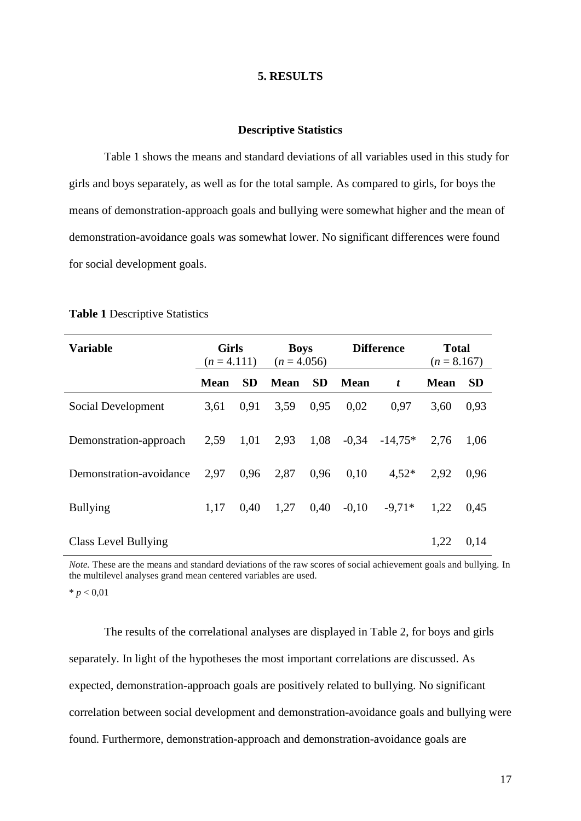## **5. RESULTS**

#### **Descriptive Statistics**

Table 1 shows the means and standard deviations of all variables used in this study for girls and boys separately, as well as for the total sample. As compared to girls, for boys the means of demonstration-approach goals and bullying were somewhat higher and the mean of demonstration-avoidance goals was somewhat lower. No significant differences were found for social development goals.

| <b>Variable</b>         | <b>Girls</b><br>$(n=4.111)$ |           | <b>Boys</b><br>$(n = 4.056)$ |           | <b>Difference</b> |           | <b>Total</b><br>$(n = 8.167)$ |           |
|-------------------------|-----------------------------|-----------|------------------------------|-----------|-------------------|-----------|-------------------------------|-----------|
|                         | <b>Mean</b>                 | <b>SD</b> | <b>Mean</b>                  | <b>SD</b> | Mean              | t         | <b>Mean</b>                   | <b>SD</b> |
| Social Development      | 3.61                        | 0.91      | 3.59                         | 0.95      | 0.02              | 0.97      | 3.60                          | 0,93      |
| Demonstration-approach  | 2,59                        | 1,01      | 2,93                         | 1,08      | $-0.34$           | $-14.75*$ | 2.76                          | 1,06      |
| Demonstration-avoidance | 2,97                        | 0.96      | 2,87                         | 0.96      | 0.10              | $4.52*$   | 2,92                          | 0.96      |
| <b>Bullying</b>         | 1,17                        | 0.40      | 1,27                         | 0.40      | $-0.10$           | $-9.71*$  | 1,22                          | 0.45      |
| Class Level Bullying    |                             |           |                              |           |                   |           | 1,22                          | 0,14      |

#### **Table 1** Descriptive Statistics

*Note.* These are the means and standard deviations of the raw scores of social achievement goals and bullying. In the multilevel analyses grand mean centered variables are used.

 $* p < 0.01$ 

The results of the correlational analyses are displayed in Table 2, for boys and girls separately. In light of the hypotheses the most important correlations are discussed. As expected, demonstration-approach goals are positively related to bullying. No significant correlation between social development and demonstration-avoidance goals and bullying were found. Furthermore, demonstration-approach and demonstration-avoidance goals are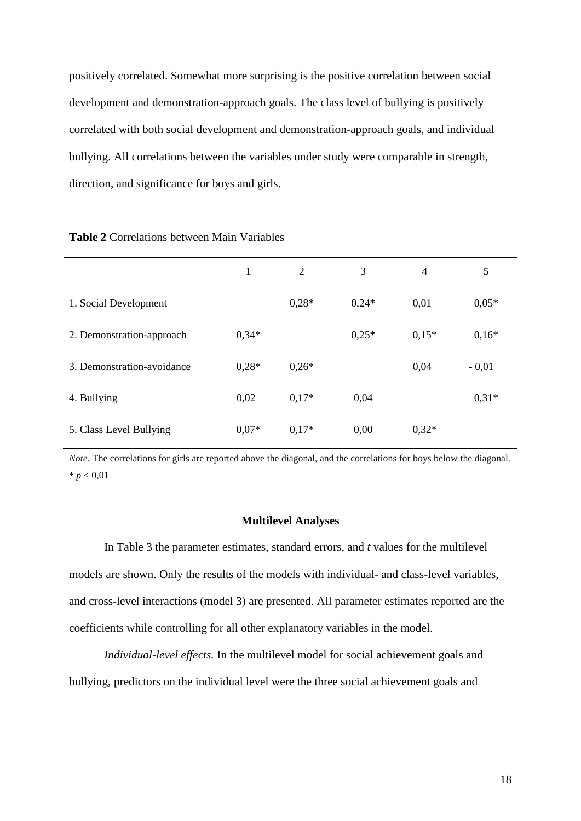positively correlated. Somewhat more surprising is the positive correlation between social development and demonstration-approach goals. The class level of bullying is positively correlated with both social development and demonstration-approach goals, and individual bullying. All correlations between the variables under study were comparable in strength, direction, and significance for boys and girls.

|                            | $\mathbf{1}$ | 2       | 3       | $\overline{4}$ | 5       |
|----------------------------|--------------|---------|---------|----------------|---------|
| 1. Social Development      |              | $0.28*$ | $0,24*$ | 0,01           | $0.05*$ |
| 2. Demonstration-approach  | $0,34*$      |         | $0.25*$ | $0.15*$        | $0,16*$ |
| 3. Demonstration-avoidance | $0.28*$      | $0,26*$ |         | 0,04           | $-0.01$ |
| 4. Bullying                | 0,02         | $0,17*$ | 0,04    |                | $0,31*$ |
| 5. Class Level Bullying    | $0.07*$      | $0,17*$ | 0,00    | $0,32*$        |         |

#### **Table 2** Correlations between Main Variables

*Note*. The correlations for girls are reported above the diagonal, and the correlations for boys below the diagonal.  $* p < 0.01$ 

#### **Multilevel Analyses**

In Table 3 the parameter estimates, standard errors, and *t* values for the multilevel models are shown. Only the results of the models with individual- and class-level variables, and cross-level interactions (model 3) are presented. All parameter estimates reported are the coefficients while controlling for all other explanatory variables in the model.

*Individual-level effects.* In the multilevel model for social achievement goals and bullying, predictors on the individual level were the three social achievement goals and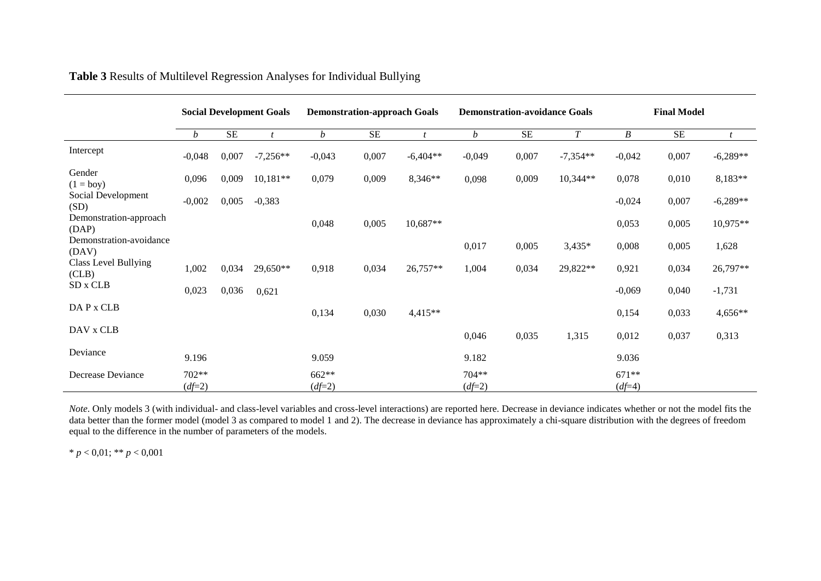|                                  | <b>Social Development Goals</b> |           | <b>Demonstration-approach Goals</b> |                   |          |            | <b>Demonstration-avoidance Goals</b> |           | <b>Final Model</b> |                     |           |            |
|----------------------------------|---------------------------------|-----------|-------------------------------------|-------------------|----------|------------|--------------------------------------|-----------|--------------------|---------------------|-----------|------------|
|                                  | b                               | <b>SE</b> | $\mathbf{t}$                        | $\mathfrak{b}$    | $\rm SE$ |            | $\boldsymbol{b}$                     | <b>SE</b> | $\boldsymbol{T}$   | B                   | <b>SE</b> |            |
| Intercept                        | $-0,048$                        | 0,007     | $-7,256**$                          | $-0,043$          | 0,007    | $-6,404**$ | $-0,049$                             | 0,007     | $-7,354**$         | $-0,042$            | 0,007     | $-6,289**$ |
| Gender<br>$(1 = boy)$            | 0,096                           | 0,009     | $10,181**$                          | 0,079             | 0,009    | 8,346**    | 0,098                                | 0,009     | $10,344**$         | 0,078               | 0,010     | 8,183**    |
| Social Development<br>(SD)       | $-0,002$                        | 0,005     | $-0,383$                            |                   |          |            |                                      |           |                    | $-0,024$            | 0,007     | $-6,289**$ |
| Demonstration-approach<br>(DAP)  |                                 |           |                                     | 0,048             | 0,005    | 10,687**   |                                      |           |                    | 0,053               | 0,005     | 10,975**   |
| Demonstration-avoidance<br>(DAV) |                                 |           |                                     |                   |          |            | 0,017                                | 0,005     | $3,435*$           | 0,008               | 0,005     | 1,628      |
| Class Level Bullying<br>(CLB)    | 1,002                           | 0,034     | 29,650**                            | 0,918             | 0,034    | 26,757**   | 1,004                                | 0,034     | 29,822**           | 0,921               | 0,034     | 26,797**   |
| SD x CLB                         | 0,023                           | 0,036     | 0,621                               |                   |          |            |                                      |           |                    | $-0,069$            | 0,040     | $-1,731$   |
| DAP x CLB                        |                                 |           |                                     | 0,134             | 0,030    | $4,415**$  |                                      |           |                    | 0,154               | 0,033     | 4,656**    |
| DAV x CLB                        |                                 |           |                                     |                   |          |            | 0,046                                | 0,035     | 1,315              | 0,012               | 0,037     | 0,313      |
| Deviance                         | 9.196                           |           |                                     | 9.059             |          |            | 9.182                                |           |                    | 9.036               |           |            |
| Decrease Deviance                | 702**<br>$(df=2)$               |           |                                     | 662**<br>$(df=2)$ |          |            | 704**<br>$(df=2)$                    |           |                    | $671**$<br>$(df=4)$ |           |            |

**Table 3** Results of Multilevel Regression Analyses for Individual Bullying

*Note*. Only models 3 (with individual- and class-level variables and cross-level interactions) are reported here. Decrease in deviance indicates whether or not the model fits the data better than the former model (model 3 as compared to model 1 and 2). The decrease in deviance has approximately a chi-square distribution with the degrees of freedom equal to the difference in the number of parameters of the models.

\* *p* < 0,01; \*\* *p* < 0,001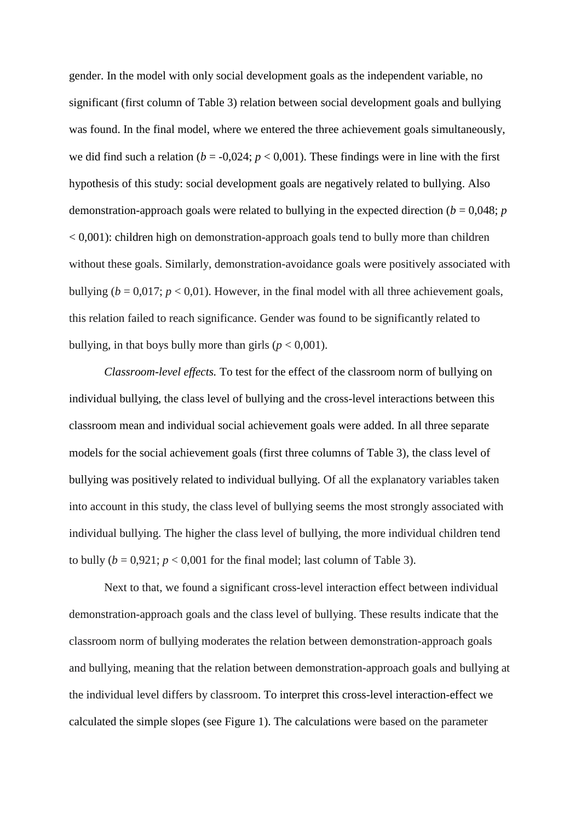gender. In the model with only social development goals as the independent variable, no significant (first column of Table 3) relation between social development goals and bullying was found. In the final model, where we entered the three achievement goals simultaneously, we did find such a relation ( $b = -0.024$ ;  $p < 0.001$ ). These findings were in line with the first hypothesis of this study: social development goals are negatively related to bullying. Also demonstration-approach goals were related to bullying in the expected direction ( $b = 0.048$ ; *p*  $< 0.001$ ): children high on demonstration-approach goals tend to bully more than children without these goals. Similarly, demonstration-avoidance goals were positively associated with bullying ( $b = 0.017$ ;  $p < 0.01$ ). However, in the final model with all three achievement goals, this relation failed to reach significance. Gender was found to be significantly related to bullying, in that boys bully more than girls  $(p < 0.001)$ .

*Classroom-level effects.* To test for the effect of the classroom norm of bullying on individual bullying, the class level of bullying and the cross-level interactions between this classroom mean and individual social achievement goals were added. In all three separate models for the social achievement goals (first three columns of Table 3), the class level of bullying was positively related to individual bullying. Of all the explanatory variables taken into account in this study, the class level of bullying seems the most strongly associated with individual bullying. The higher the class level of bullying, the more individual children tend to bully  $(b = 0.921; p < 0.001$  for the final model; last column of Table 3).

Next to that, we found a significant cross-level interaction effect between individual demonstration-approach goals and the class level of bullying. These results indicate that the classroom norm of bullying moderates the relation between demonstration-approach goals and bullying, meaning that the relation between demonstration-approach goals and bullying at the individual level differs by classroom. To interpret this cross-level interaction-effect we calculated the simple slopes (see Figure 1). The calculations were based on the parameter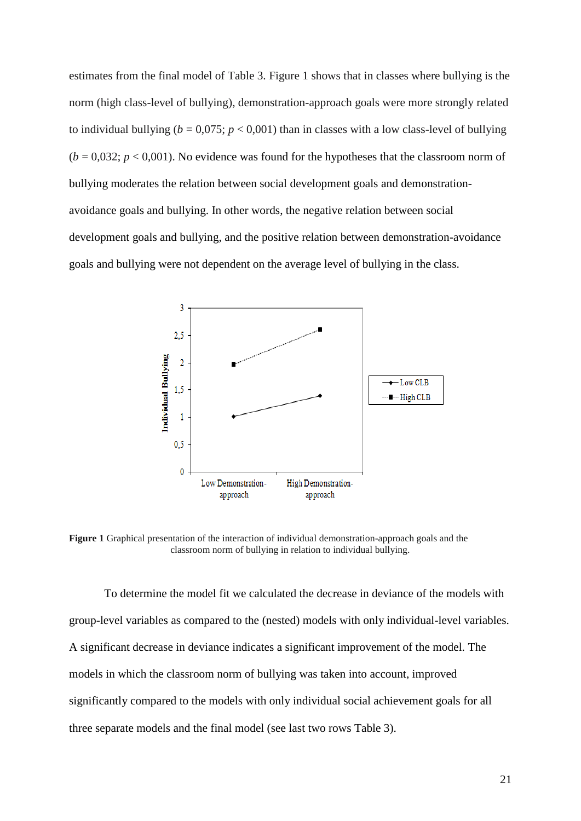estimates from the final model of Table 3. Figure 1 shows that in classes where bullying is the norm (high class-level of bullying), demonstration-approach goals were more strongly related to individual bullying ( $b = 0.075$ ;  $p < 0.001$ ) than in classes with a low class-level of bullying  $(b = 0.032; p < 0.001)$ . No evidence was found for the hypotheses that the classroom norm of bullying moderates the relation between social development goals and demonstrationavoidance goals and bullying. In other words, the negative relation between social development goals and bullying, and the positive relation between demonstration-avoidance goals and bullying were not dependent on the average level of bullying in the class.



**Figure 1** Graphical presentation of the interaction of individual demonstration-approach goals and the classroom norm of bullying in relation to individual bullying.

To determine the model fit we calculated the decrease in deviance of the models with group-level variables as compared to the (nested) models with only individual-level variables. A significant decrease in deviance indicates a significant improvement of the model. The models in which the classroom norm of bullying was taken into account, improved significantly compared to the models with only individual social achievement goals for all three separate models and the final model (see last two rows Table 3).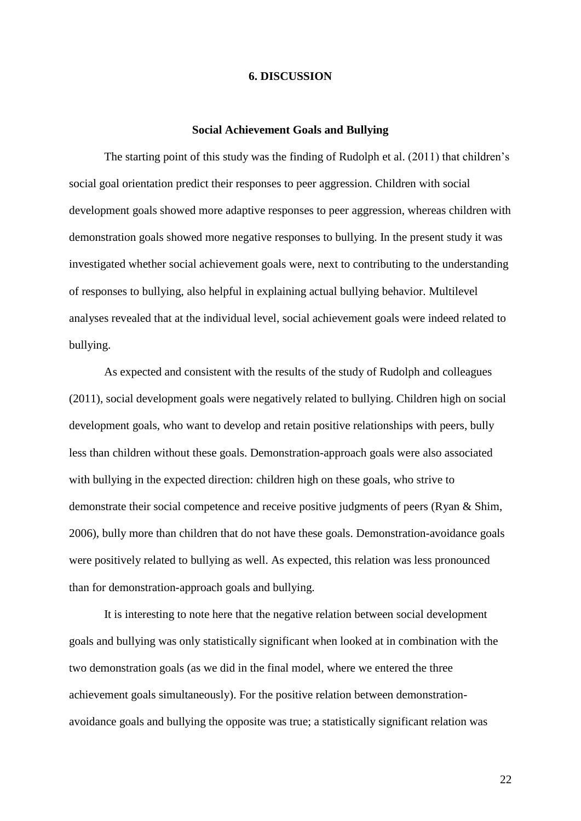## **6. DISCUSSION**

#### **Social Achievement Goals and Bullying**

The starting point of this study was the finding of Rudolph et al. (2011) that children's social goal orientation predict their responses to peer aggression. Children with social development goals showed more adaptive responses to peer aggression, whereas children with demonstration goals showed more negative responses to bullying. In the present study it was investigated whether social achievement goals were, next to contributing to the understanding of responses to bullying, also helpful in explaining actual bullying behavior. Multilevel analyses revealed that at the individual level, social achievement goals were indeed related to bullying.

As expected and consistent with the results of the study of Rudolph and colleagues (2011), social development goals were negatively related to bullying. Children high on social development goals, who want to develop and retain positive relationships with peers, bully less than children without these goals. Demonstration-approach goals were also associated with bullying in the expected direction: children high on these goals, who strive to demonstrate their social competence and receive positive judgments of peers (Ryan & Shim, 2006), bully more than children that do not have these goals. Demonstration-avoidance goals were positively related to bullying as well. As expected, this relation was less pronounced than for demonstration-approach goals and bullying.

It is interesting to note here that the negative relation between social development goals and bullying was only statistically significant when looked at in combination with the two demonstration goals (as we did in the final model, where we entered the three achievement goals simultaneously). For the positive relation between demonstrationavoidance goals and bullying the opposite was true; a statistically significant relation was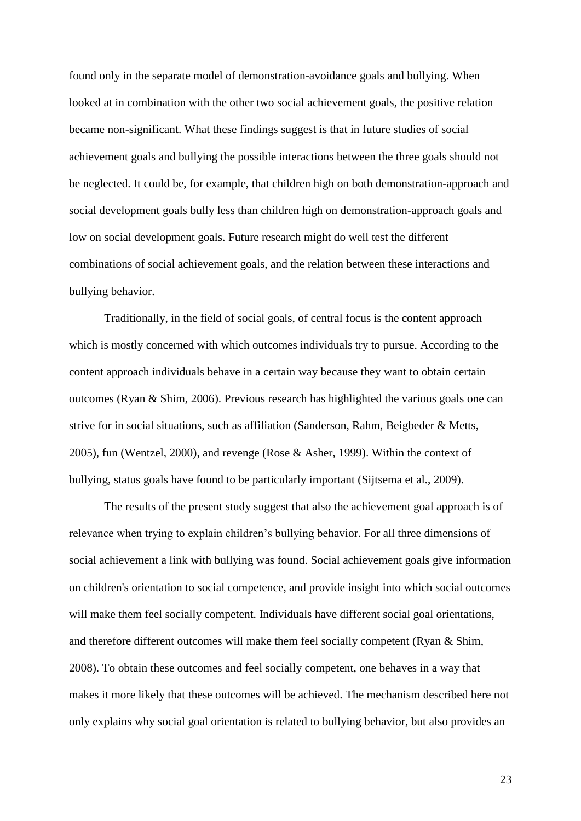found only in the separate model of demonstration-avoidance goals and bullying. When looked at in combination with the other two social achievement goals, the positive relation became non-significant. What these findings suggest is that in future studies of social achievement goals and bullying the possible interactions between the three goals should not be neglected. It could be, for example, that children high on both demonstration-approach and social development goals bully less than children high on demonstration-approach goals and low on social development goals. Future research might do well test the different combinations of social achievement goals, and the relation between these interactions and bullying behavior.

Traditionally, in the field of social goals, of central focus is the content approach which is mostly concerned with which outcomes individuals try to pursue. According to the content approach individuals behave in a certain way because they want to obtain certain outcomes (Ryan & Shim, 2006). Previous research has highlighted the various goals one can strive for in social situations, such as affiliation (Sanderson, Rahm, Beigbeder & Metts, 2005), fun (Wentzel, 2000), and revenge (Rose & Asher, 1999). Within the context of bullying, status goals have found to be particularly important (Sijtsema et al., 2009).

The results of the present study suggest that also the achievement goal approach is of relevance when trying to explain children's bullying behavior. For all three dimensions of social achievement a link with bullying was found. Social achievement goals give information on children's orientation to social competence, and provide insight into which social outcomes will make them feel socially competent. Individuals have different social goal orientations, and therefore different outcomes will make them feel socially competent (Ryan & Shim, 2008). To obtain these outcomes and feel socially competent, one behaves in a way that makes it more likely that these outcomes will be achieved. The mechanism described here not only explains why social goal orientation is related to bullying behavior, but also provides an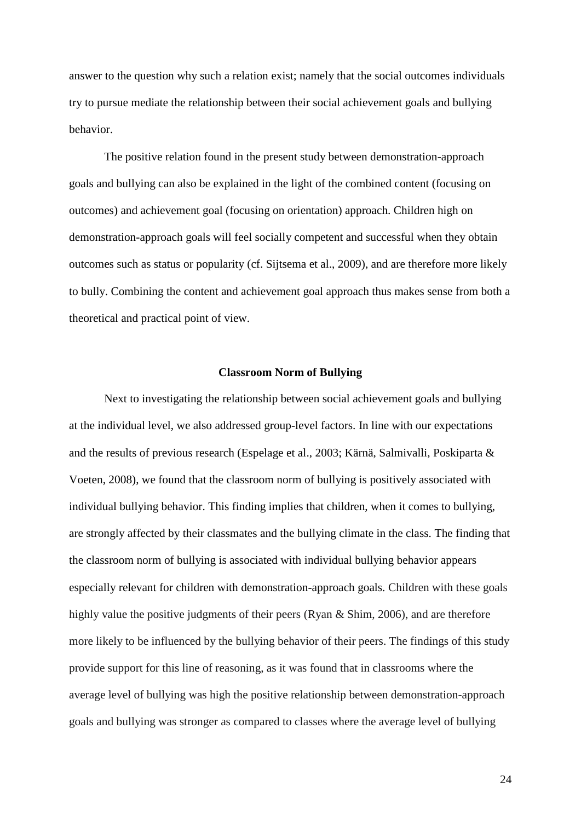answer to the question why such a relation exist; namely that the social outcomes individuals try to pursue mediate the relationship between their social achievement goals and bullying behavior.

The positive relation found in the present study between demonstration-approach goals and bullying can also be explained in the light of the combined content (focusing on outcomes) and achievement goal (focusing on orientation) approach. Children high on demonstration-approach goals will feel socially competent and successful when they obtain outcomes such as status or popularity (cf. Sijtsema et al., 2009), and are therefore more likely to bully. Combining the content and achievement goal approach thus makes sense from both a theoretical and practical point of view.

#### **Classroom Norm of Bullying**

Next to investigating the relationship between social achievement goals and bullying at the individual level, we also addressed group-level factors. In line with our expectations and the results of previous research (Espelage et al., 2003; Kärnä, Salmivalli, Poskiparta & Voeten, 2008), we found that the classroom norm of bullying is positively associated with individual bullying behavior. This finding implies that children, when it comes to bullying, are strongly affected by their classmates and the bullying climate in the class. The finding that the classroom norm of bullying is associated with individual bullying behavior appears especially relevant for children with demonstration-approach goals. Children with these goals highly value the positive judgments of their peers (Ryan & Shim, 2006), and are therefore more likely to be influenced by the bullying behavior of their peers. The findings of this study provide support for this line of reasoning, as it was found that in classrooms where the average level of bullying was high the positive relationship between demonstration-approach goals and bullying was stronger as compared to classes where the average level of bullying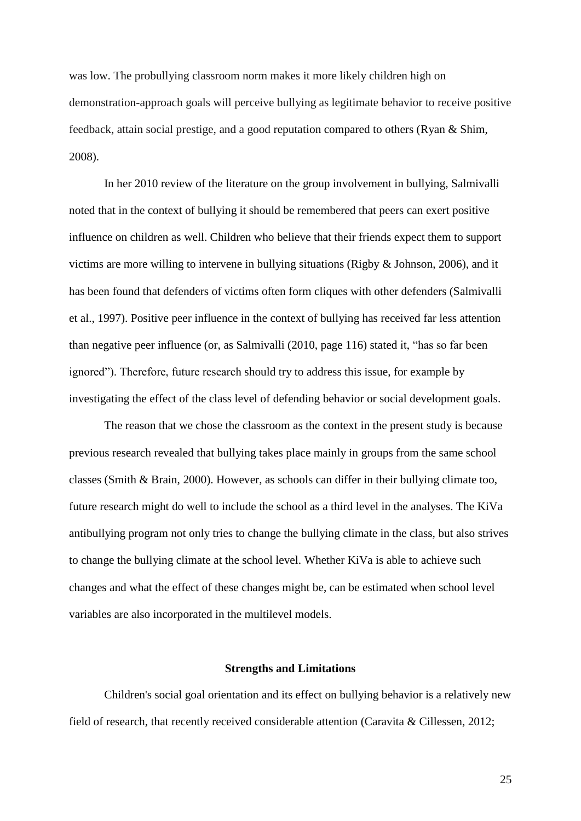was low. The probullying classroom norm makes it more likely children high on demonstration-approach goals will perceive bullying as legitimate behavior to receive positive feedback, attain social prestige, and a good reputation compared to others (Ryan & Shim, 2008).

In her 2010 review of the literature on the group involvement in bullying, Salmivalli noted that in the context of bullying it should be remembered that peers can exert positive influence on children as well. Children who believe that their friends expect them to support victims are more willing to intervene in bullying situations (Rigby & Johnson, 2006), and it has been found that defenders of victims often form cliques with other defenders (Salmivalli et al., 1997). Positive peer influence in the context of bullying has received far less attention than negative peer influence (or, as Salmivalli (2010, page 116) stated it, "has so far been ignored"). Therefore, future research should try to address this issue, for example by investigating the effect of the class level of defending behavior or social development goals.

The reason that we chose the classroom as the context in the present study is because previous research revealed that bullying takes place mainly in groups from the same school classes (Smith & Brain, 2000). However, as schools can differ in their bullying climate too, future research might do well to include the school as a third level in the analyses. The KiVa antibullying program not only tries to change the bullying climate in the class, but also strives to change the bullying climate at the school level. Whether KiVa is able to achieve such changes and what the effect of these changes might be, can be estimated when school level variables are also incorporated in the multilevel models.

## **Strengths and Limitations**

Children's social goal orientation and its effect on bullying behavior is a relatively new field of research, that recently received considerable attention (Caravita & Cillessen, 2012;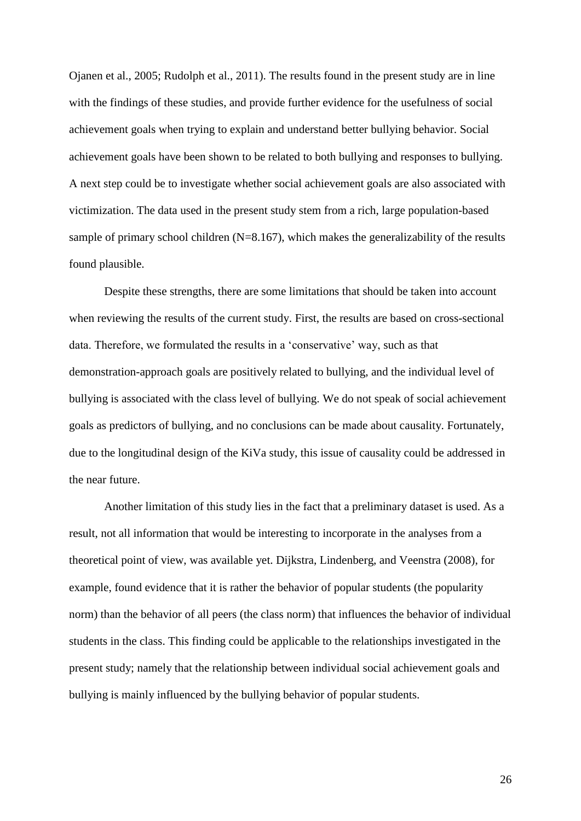Ojanen et al., 2005; Rudolph et al., 2011). The results found in the present study are in line with the findings of these studies, and provide further evidence for the usefulness of social achievement goals when trying to explain and understand better bullying behavior. Social achievement goals have been shown to be related to both bullying and responses to bullying. A next step could be to investigate whether social achievement goals are also associated with victimization. The data used in the present study stem from a rich, large population-based sample of primary school children  $(N=8.167)$ , which makes the generalizability of the results found plausible.

Despite these strengths, there are some limitations that should be taken into account when reviewing the results of the current study. First, the results are based on cross-sectional data. Therefore, we formulated the results in a 'conservative' way, such as that demonstration-approach goals are positively related to bullying, and the individual level of bullying is associated with the class level of bullying. We do not speak of social achievement goals as predictors of bullying, and no conclusions can be made about causality. Fortunately, due to the longitudinal design of the KiVa study, this issue of causality could be addressed in the near future.

Another limitation of this study lies in the fact that a preliminary dataset is used. As a result, not all information that would be interesting to incorporate in the analyses from a theoretical point of view, was available yet. Dijkstra, Lindenberg, and Veenstra (2008), for example, found evidence that it is rather the behavior of popular students (the popularity norm) than the behavior of all peers (the class norm) that influences the behavior of individual students in the class. This finding could be applicable to the relationships investigated in the present study; namely that the relationship between individual social achievement goals and bullying is mainly influenced by the bullying behavior of popular students.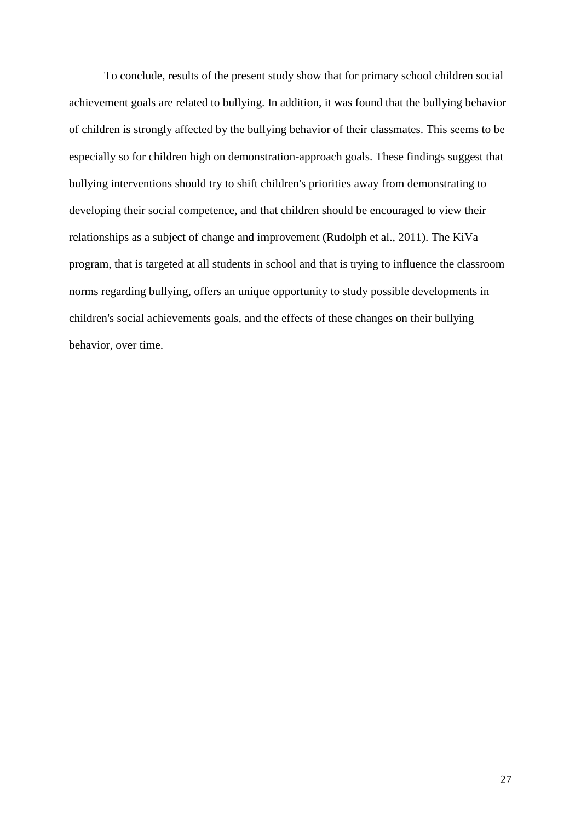To conclude, results of the present study show that for primary school children social achievement goals are related to bullying. In addition, it was found that the bullying behavior of children is strongly affected by the bullying behavior of their classmates. This seems to be especially so for children high on demonstration-approach goals. These findings suggest that bullying interventions should try to shift children's priorities away from demonstrating to developing their social competence, and that children should be encouraged to view their relationships as a subject of change and improvement (Rudolph et al., 2011). The KiVa program, that is targeted at all students in school and that is trying to influence the classroom norms regarding bullying, offers an unique opportunity to study possible developments in children's social achievements goals, and the effects of these changes on their bullying behavior, over time.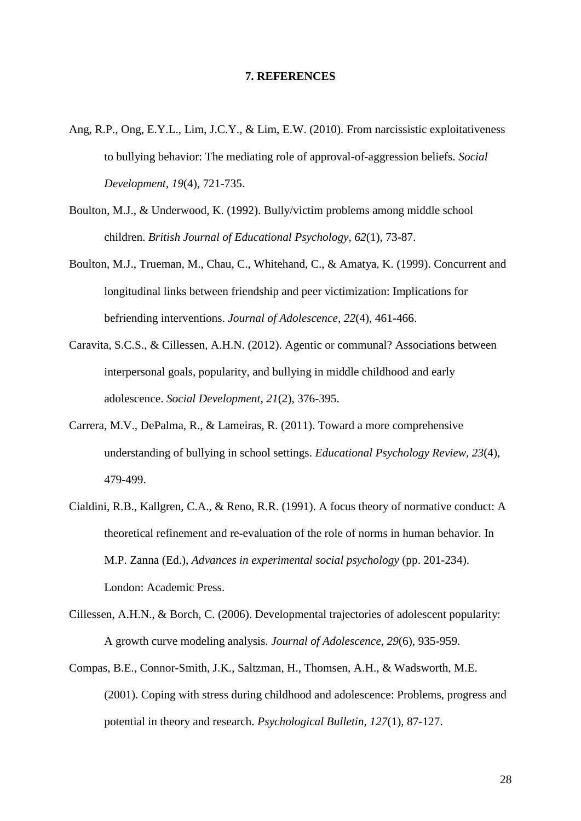## **7. REFERENCES**

- Ang, R.P., Ong, E.Y.L., Lim, J.C.Y., & Lim, E.W. (2010). From narcissistic exploitativeness to bullying behavior: The mediating role of approval-of-aggression beliefs. *Social Development, 19*(4), 721-735.
- Boulton, M.J., & Underwood, K. (1992). Bully/victim problems among middle school children. *British Journal of Educational Psychology, 62*(1), 73-87.
- Boulton, M.J., Trueman, M., Chau, C., Whitehand, C., & Amatya, K. (1999). Concurrent and longitudinal links between friendship and peer victimization: Implications for befriending interventions. *Journal of Adolescence, 22*(4), 461-466.
- Caravita, S.C.S., & Cillessen, A.H.N. (2012). Agentic or communal? Associations between interpersonal goals, popularity, and bullying in middle childhood and early adolescence. *Social Development, 21*(2), 376-395.
- Carrera, M.V., DePalma, R., & Lameiras, R. (2011). Toward a more comprehensive understanding of bullying in school settings. *Educational Psychology Review, 23*(4), 479-499.
- Cialdini, R.B., Kallgren, C.A., & Reno, R.R. (1991). A focus theory of normative conduct: A theoretical refinement and re-evaluation of the role of norms in human behavior. In M.P. Zanna (Ed.), *Advances in experimental social psychology* (pp. 201-234). London: Academic Press.
- Cillessen, A.H.N., & Borch, C. (2006). Developmental trajectories of adolescent popularity: A growth curve modeling analysis. *Journal of Adolescence, 29*(6), 935-959.
- Compas, B.E., Connor-Smith, J.K., Saltzman, H., Thomsen, A.H., & Wadsworth, M.E. (2001). Coping with stress during childhood and adolescence: Problems, progress and potential in theory and research. *Psychological Bulletin, 127*(1), 87-127.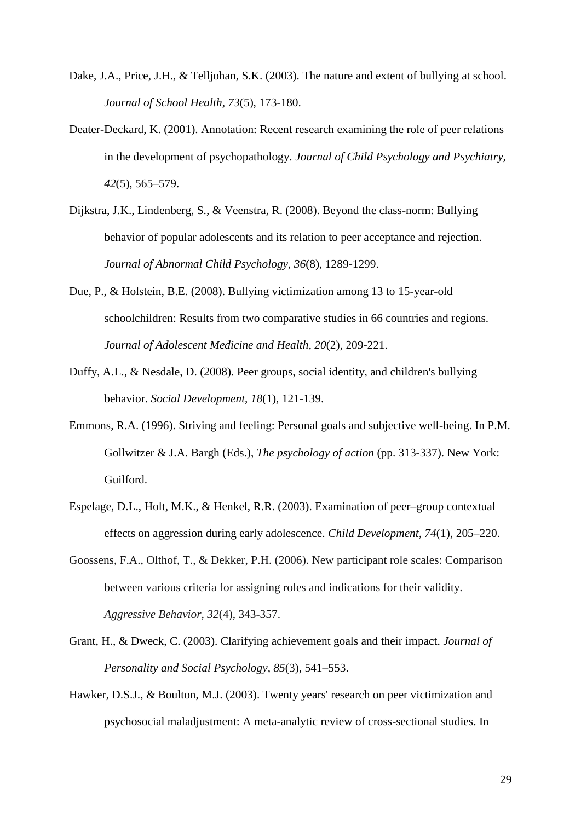- Dake, J.A., Price, J.H., & Telljohan, S.K. (2003). The nature and extent of bullying at school. *Journal of School Health, 73*(5), 173-180.
- Deater-Deckard, K. (2001). Annotation: Recent research examining the role of peer relations in the development of psychopathology. *Journal of Child Psychology and Psychiatry, 42*(5), 565–579.
- Dijkstra, J.K., Lindenberg, S., & Veenstra, R. (2008). Beyond the class-norm: Bullying behavior of popular adolescents and its relation to peer acceptance and rejection. *Journal of Abnormal Child Psychology, 36*(8), 1289-1299.
- Due, P., & Holstein, B.E. (2008). Bullying victimization among 13 to 15-year-old schoolchildren: Results from two comparative studies in 66 countries and regions. *Journal of Adolescent Medicine and Health, 20*(2), 209-221.
- Duffy, A.L., & Nesdale, D. (2008). Peer groups, social identity, and children's bullying behavior. *Social Development, 18*(1), 121-139.
- Emmons, R.A. (1996). Striving and feeling: Personal goals and subjective well-being. In P.M. Gollwitzer & J.A. Bargh (Eds.), *The psychology of action* (pp. 313-337). New York: Guilford.
- Espelage, D.L., Holt, M.K., & Henkel, R.R. (2003). Examination of peer–group contextual effects on aggression during early adolescence. *Child Development, 74*(1), 205–220.
- Goossens, F.A., Olthof, T., & Dekker, P.H. (2006). New participant role scales: Comparison between various criteria for assigning roles and indications for their validity. *Aggressive Behavior, 32*(4), 343-357.
- Grant, H., & Dweck, C. (2003). Clarifying achievement goals and their impact. *Journal of Personality and Social Psychology, 85*(3)*,* 541–553.
- Hawker, D.S.J., & Boulton, M.J. (2003). Twenty years' research on peer victimization and psychosocial maladjustment: A meta-analytic review of cross-sectional studies. In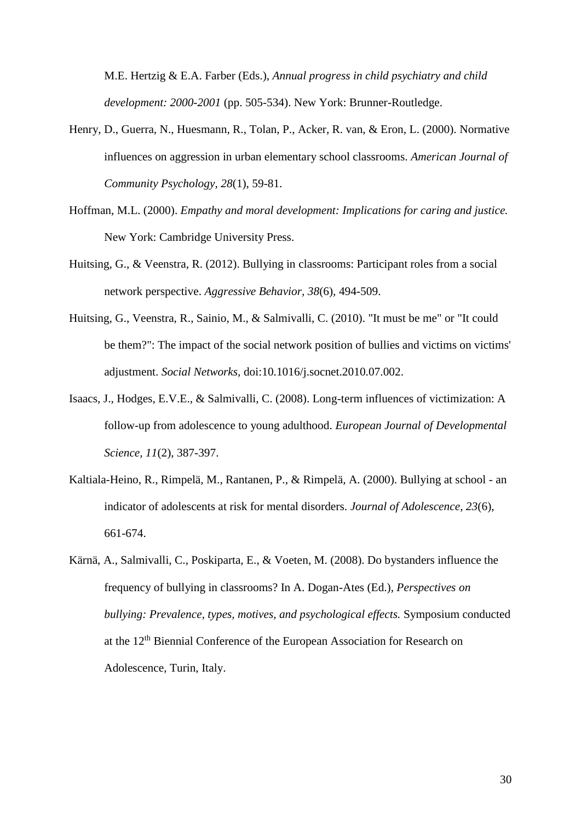M.E. Hertzig & E.A. Farber (Eds.), *Annual progress in child psychiatry and child development: 2000-2001* (pp. 505-534). New York: Brunner-Routledge.

- Henry, D., Guerra, N., Huesmann, R., Tolan, P., Acker, R. van, & Eron, L. (2000). Normative influences on aggression in urban elementary school classrooms. *American Journal of Community Psychology, 28*(1), 59-81.
- Hoffman, M.L. (2000). *Empathy and moral development: Implications for caring and justice.*  New York: Cambridge University Press.
- Huitsing, G., & Veenstra, R. (2012). Bullying in classrooms: Participant roles from a social network perspective. *Aggressive Behavior, 38*(6), 494-509.
- Huitsing, G., Veenstra, R., Sainio, M., & Salmivalli, C. (2010). "It must be me" or "It could be them?": The impact of the social network position of bullies and victims on victims' adjustment. *Social Networks,* doi:10.1016/j.socnet.2010.07.002.
- Isaacs, J., Hodges, E.V.E., & Salmivalli, C. (2008). Long-term influences of victimization: A follow-up from adolescence to young adulthood. *European Journal of Developmental Science, 11*(2), 387-397.
- Kaltiala-Heino, R., Rimpelä, M., Rantanen, P., & Rimpelä, A. (2000). Bullying at school an indicator of adolescents at risk for mental disorders. *Journal of Adolescence, 23*(6), 661-674.
- Kärnä, A., Salmivalli, C., Poskiparta, E., & Voeten, M. (2008). Do bystanders influence the frequency of bullying in classrooms? In A. Dogan-Ates (Ed.), *Perspectives on bullying: Prevalence, types, motives, and psychological effects.* Symposium conducted at the 12th Biennial Conference of the European Association for Research on Adolescence, Turin, Italy.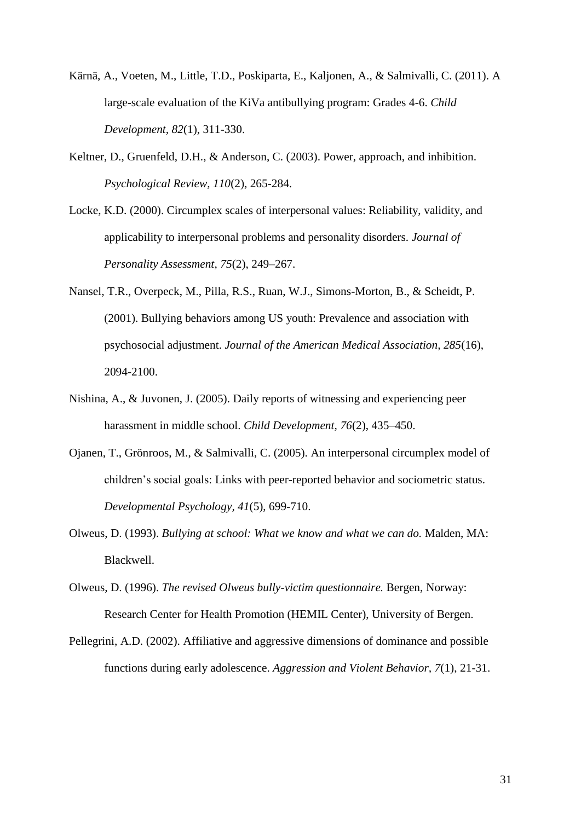- Kärnä, A., Voeten, M., Little, T.D., Poskiparta, E., Kaljonen, A., & Salmivalli, C. (2011). A large-scale evaluation of the KiVa antibullying program: Grades 4-6. *Child Development, 82*(1), 311-330.
- Keltner, D., Gruenfeld, D.H., & Anderson, C. (2003). Power, approach, and inhibition. *Psychological Review, 110*(2), 265-284.
- Locke, K.D. (2000). Circumplex scales of interpersonal values: Reliability, validity, and applicability to interpersonal problems and personality disorders. *Journal of Personality Assessment*, *75*(2), 249–267.
- Nansel, T.R., Overpeck, M., Pilla, R.S., Ruan, W.J., Simons-Morton, B., & Scheidt, P. (2001). Bullying behaviors among US youth: Prevalence and association with psychosocial adjustment. *Journal of the American Medical Association, 285*(16), 2094-2100.
- Nishina, A., & Juvonen, J. (2005). Daily reports of witnessing and experiencing peer harassment in middle school. *Child Development, 76*(2), 435–450.
- Ojanen, T., Grönroos, M., & Salmivalli, C. (2005). An interpersonal circumplex model of children's social goals: Links with peer-reported behavior and sociometric status. *Developmental Psychology, 41*(5), 699-710.
- Olweus, D. (1993). *Bullying at school: What we know and what we can do.* Malden, MA: Blackwell.
- Olweus, D. (1996). *The revised Olweus bully-victim questionnaire.* Bergen, Norway: Research Center for Health Promotion (HEMIL Center), University of Bergen.
- Pellegrini, A.D. (2002). Affiliative and aggressive dimensions of dominance and possible functions during early adolescence. *Aggression and Violent Behavior, 7*(1), 21-31.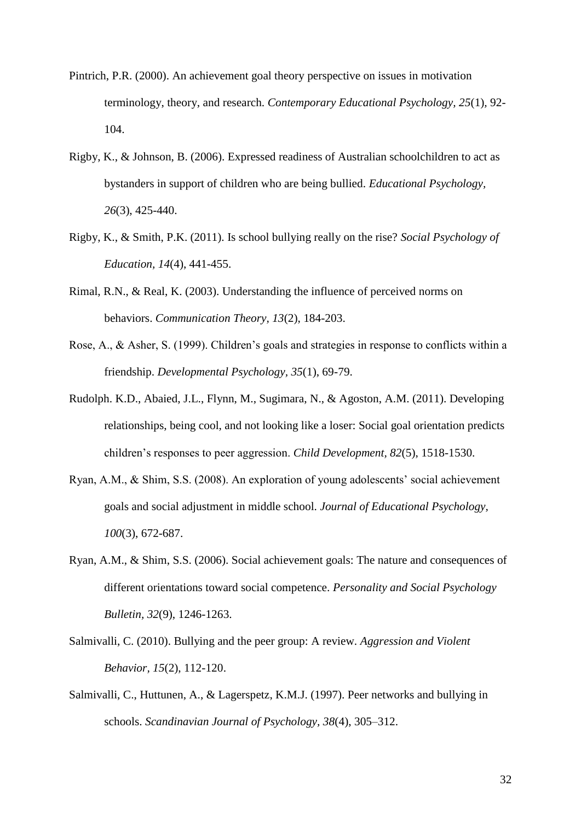- Pintrich, P.R. (2000). An achievement goal theory perspective on issues in motivation terminology, theory, and research. *Contemporary Educational Psychology, 25*(1)*,* 92- 104.
- Rigby, K., & Johnson, B. (2006). Expressed readiness of Australian schoolchildren to act as bystanders in support of children who are being bullied. *Educational Psychology, 26*(3), 425-440.
- Rigby, K., & Smith, P.K. (2011). Is school bullying really on the rise? *Social Psychology of Education, 14*(4), 441-455.
- Rimal, R.N., & Real, K. (2003). Understanding the influence of perceived norms on behaviors. *Communication Theory, 13*(2), 184-203.
- Rose, A., & Asher, S. (1999). Children's goals and strategies in response to conflicts within a friendship. *Developmental Psychology, 35*(1), 69-79.
- Rudolph. K.D., Abaied, J.L., Flynn, M., Sugimara, N., & Agoston, A.M. (2011). Developing relationships, being cool, and not looking like a loser: Social goal orientation predicts children's responses to peer aggression. *Child Development, 82*(5), 1518-1530.
- Ryan, A.M., & Shim, S.S. (2008). An exploration of young adolescents' social achievement goals and social adjustment in middle school. *Journal of Educational Psychology, 100*(3), 672-687.
- Ryan, A.M., & Shim, S.S. (2006). Social achievement goals: The nature and consequences of different orientations toward social competence. *Personality and Social Psychology Bulletin, 32*(9), 1246-1263.
- Salmivalli, C. (2010). Bullying and the peer group: A review. *Aggression and Violent Behavior, 15*(2), 112-120.
- Salmivalli, C., Huttunen, A., & Lagerspetz, K.M.J. (1997). Peer networks and bullying in schools. *Scandinavian Journal of Psychology, 38*(4), 305–312.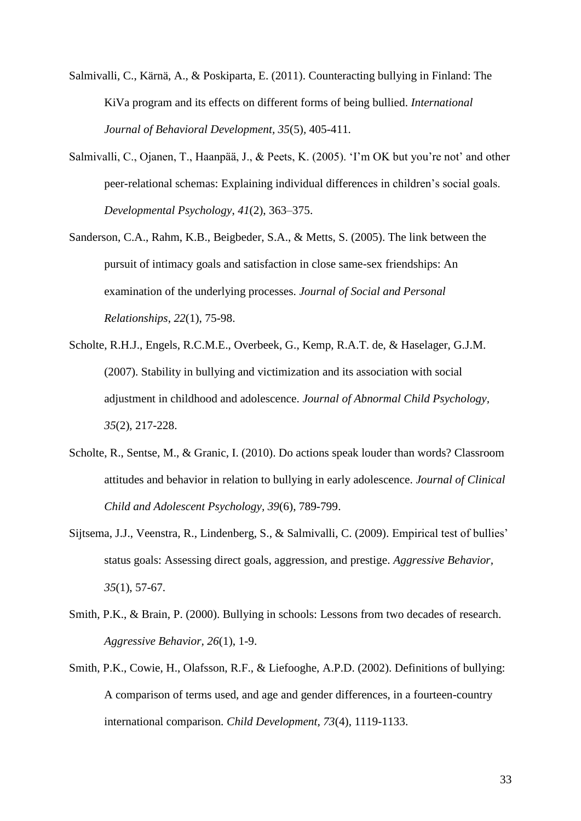Salmivalli, C., Kärnä, A., & Poskiparta, E. (2011). Counteracting bullying in Finland: The KiVa program and its effects on different forms of being bullied. *International Journal of Behavioral Development, 35*(5)*,* 405-411*.*

- Salmivalli, C., Ojanen, T., Haanpää, J., & Peets, K. (2005). 'I'm OK but you're not' and other peer-relational schemas: Explaining individual differences in children's social goals. *Developmental Psychology*, *41*(2), 363–375.
- Sanderson, C.A., Rahm, K.B., Beigbeder, S.A., & Metts, S. (2005). The link between the pursuit of intimacy goals and satisfaction in close same-sex friendships: An examination of the underlying processes. *Journal of Social and Personal Relationships*, *22*(1), 75-98.
- Scholte, R.H.J., Engels, R.C.M.E., Overbeek, G., Kemp, R.A.T. de, & Haselager, G.J.M. (2007). Stability in bullying and victimization and its association with social adjustment in childhood and adolescence. *Journal of Abnormal Child Psychology, 35*(2), 217-228.
- Scholte, R., Sentse, M., & Granic, I. (2010). Do actions speak louder than words? Classroom attitudes and behavior in relation to bullying in early adolescence. *Journal of Clinical Child and Adolescent Psychology, 39*(6), 789-799.
- Sijtsema, J.J., Veenstra, R., Lindenberg, S., & Salmivalli, C. (2009). Empirical test of bullies' status goals: Assessing direct goals, aggression, and prestige. *Aggressive Behavior, 35*(1), 57-67.
- Smith, P.K., & Brain, P. (2000). Bullying in schools: Lessons from two decades of research. *Aggressive Behavior, 26*(1), 1-9.
- Smith, P.K., Cowie, H., Olafsson, R.F., & Liefooghe, A.P.D. (2002). Definitions of bullying: A comparison of terms used, and age and gender differences, in a fourteen-country international comparison. *Child Development, 73*(4), 1119-1133.